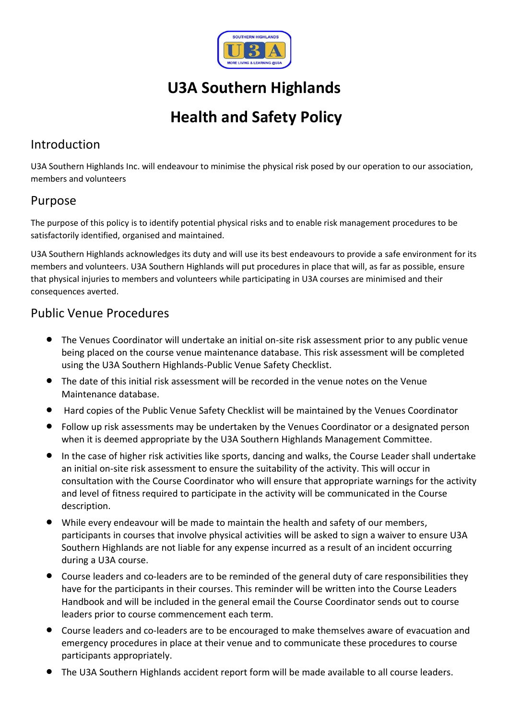

# **U3A Southern Highlands**

# **Health and Safety Policy**

# Introduction

U3A Southern Highlands Inc. will endeavour to minimise the physical risk posed by our operation to our association, members and volunteers

## Purpose

The purpose of this policy is to identify potential physical risks and to enable risk management procedures to be satisfactorily identified, organised and maintained.

U3A Southern Highlands acknowledges its duty and will use its best endeavours to provide a safe environment for its members and volunteers. U3A Southern Highlands will put procedures in place that will, as far as possible, ensure that physical injuries to members and volunteers while participating in U3A courses are minimised and their consequences averted.

## Public Venue Procedures

- The Venues Coordinator will undertake an initial on-site risk assessment prior to any public venue being placed on the course venue maintenance database. This risk assessment will be completed using the U3A Southern Highlands-Public Venue Safety Checklist.
- The date of this initial risk assessment will be recorded in the venue notes on the Venue Maintenance database.
- Hard copies of the Public Venue Safety Checklist will be maintained by the Venues Coordinator
- Follow up risk assessments may be undertaken by the Venues Coordinator or a designated person when it is deemed appropriate by the U3A Southern Highlands Management Committee.
- In the case of higher risk activities like sports, dancing and walks, the Course Leader shall undertake an initial on-site risk assessment to ensure the suitability of the activity. This will occur in consultation with the Course Coordinator who will ensure that appropriate warnings for the activity and level of fitness required to participate in the activity will be communicated in the Course description.
- While every endeavour will be made to maintain the health and safety of our members, participants in courses that involve physical activities will be asked to sign a waiver to ensure U3A Southern Highlands are not liable for any expense incurred as a result of an incident occurring during a U3A course.
- Course leaders and co-leaders are to be reminded of the general duty of care responsibilities they have for the participants in their courses. This reminder will be written into the Course Leaders Handbook and will be included in the general email the Course Coordinator sends out to course leaders prior to course commencement each term.
- Course leaders and co-leaders are to be encouraged to make themselves aware of evacuation and emergency procedures in place at their venue and to communicate these procedures to course participants appropriately.
- The U3A Southern Highlands accident report form will be made available to all course leaders.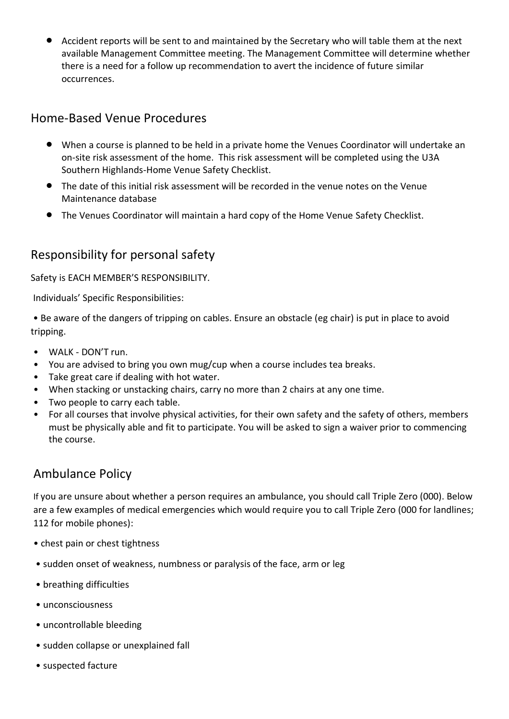• Accident reports will be sent to and maintained by the Secretary who will table them at the next available Management Committee meeting. The Management Committee will determine whether there is a need for a follow up recommendation to avert the incidence of future similar occurrences.

## Home-Based Venue Procedures

- When a course is planned to be held in a private home the Venues Coordinator will undertake an on-site risk assessment of the home. This risk assessment will be completed using the U3A Southern Highlands-Home Venue Safety Checklist.
- The date of this initial risk assessment will be recorded in the venue notes on the Venue Maintenance database
- The Venues Coordinator will maintain a hard copy of the Home Venue Safety Checklist.

# Responsibility for personal safety

Safety is EACH MEMBER'S RESPONSIBILITY.

Individuals' Specific Responsibilities:

• Be aware of the dangers of tripping on cables. Ensure an obstacle (eg chair) is put in place to avoid tripping.

- WALK DON'T run.
- You are advised to bring you own mug/cup when a course includes tea breaks.
- Take great care if dealing with hot water.
- When stacking or unstacking chairs, carry no more than 2 chairs at any one time.
- Two people to carry each table.
- For all courses that involve physical activities, for their own safety and the safety of others, members must be physically able and fit to participate. You will be asked to sign a waiver prior to commencing the course.

## Ambulance Policy

If you are unsure about whether a person requires an ambulance, you should call Triple Zero (000). Below are a few examples of medical emergencies which would require you to call Triple Zero (000 for landlines; 112 for mobile phones):

- chest pain or chest tightness
- sudden onset of weakness, numbness or paralysis of the face, arm or leg
- breathing difficulties
- unconsciousness
- uncontrollable bleeding
- sudden collapse or unexplained fall
- suspected facture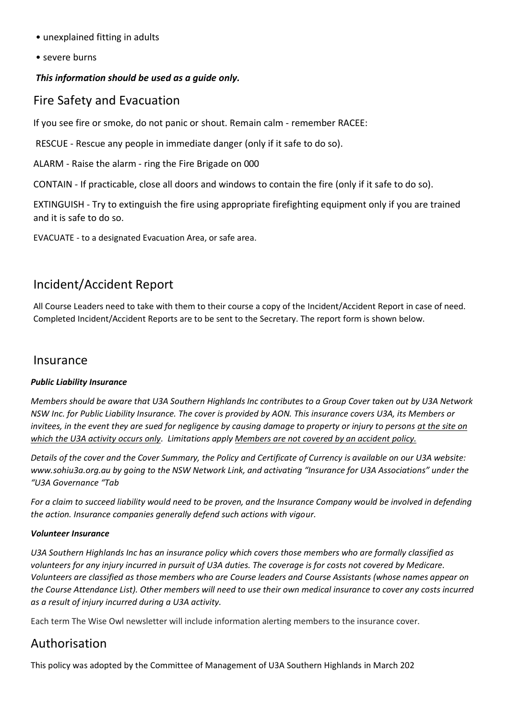- unexplained fitting in adults
- severe burns

#### *This information should be used as a guide only.*

### Fire Safety and Evacuation

If you see fire or smoke, do not panic or shout. Remain calm - remember RACEE:

RESCUE - Rescue any people in immediate danger (only if it safe to do so).

ALARM - Raise the alarm - ring the Fire Brigade on 000

CONTAIN - If practicable, close all doors and windows to contain the fire (only if it safe to do so).

EXTINGUISH - Try to extinguish the fire using appropriate firefighting equipment only if you are trained and it is safe to do so.

EVACUATE - to a designated Evacuation Area, or safe area.

## Incident/Accident Report

All Course Leaders need to take with them to their course a copy of the Incident/Accident Report in case of need. Completed Incident/Accident Reports are to be sent to the Secretary. The report form is shown below.

#### Insurance

#### *Public Liability Insurance*

*Members should be aware that U3A Southern Highlands Inc contributes to a Group Cover taken out by U3A Network NSW Inc. for Public Liability Insurance. The cover is provided by AON. This insurance covers U3A, its Members or invitees, in the event they are sued for negligence by causing damage to property or injury to persons at the site on which the U3A activity occurs only. Limitations apply Members are not covered by an accident policy.*

*Details of the cover and the Cover Summary, the Policy and Certificate of Currency is available on our U3A website: www.sohiu3a.org.au by going to the NSW Network Link, and activating "Insurance for U3A Associations" under the "U3A Governance "Tab* 

*For a claim to succeed liability would need to be proven, and the Insurance Company would be involved in defending the action. Insurance companies generally defend such actions with vigour.*

#### *Volunteer Insurance*

*U3A Southern Highlands Inc has an insurance policy which covers those members who are formally classified as*  volunteers for any injury incurred in pursuit of U3A duties. The coverage is for costs not covered by Medicare. *Volunteers are classified as those members who are Course leaders and Course Assistants (whose names appear on the Course Attendance List). Other members will need to use their own medical insurance to cover any costs incurred as a result of injury incurred during a U3A activity.*

Each term The Wise Owl newsletter will include information alerting members to the insurance cover.

## Authorisation

This policy was adopted by the Committee of Management of U3A Southern Highlands in March 202